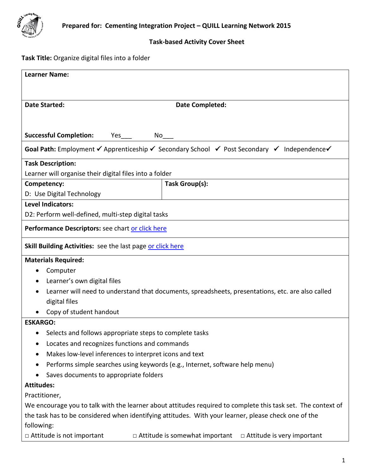

# **Task-based Activity Cover Sheet**

# **Task Title:** Organize digital files into a folder

| <b>Learner Name:</b>                                                                                                                                      |                                                                            |  |  |  |  |
|-----------------------------------------------------------------------------------------------------------------------------------------------------------|----------------------------------------------------------------------------|--|--|--|--|
|                                                                                                                                                           |                                                                            |  |  |  |  |
|                                                                                                                                                           |                                                                            |  |  |  |  |
| <b>Date Started:</b>                                                                                                                                      | <b>Date Completed:</b>                                                     |  |  |  |  |
|                                                                                                                                                           |                                                                            |  |  |  |  |
| <b>Successful Completion:</b>                                                                                                                             |                                                                            |  |  |  |  |
| No                                                                                                                                                        |                                                                            |  |  |  |  |
| <b>Goal Path:</b> Employment $\checkmark$ Apprenticeship $\checkmark$ Secondary School $\checkmark$ Post Secondary $\checkmark$ Independence $\checkmark$ |                                                                            |  |  |  |  |
| <b>Task Description:</b>                                                                                                                                  |                                                                            |  |  |  |  |
| Learner will organise their digital files into a folder                                                                                                   |                                                                            |  |  |  |  |
| Competency:                                                                                                                                               | Task Group(s):                                                             |  |  |  |  |
| D: Use Digital Technology                                                                                                                                 |                                                                            |  |  |  |  |
| <b>Level Indicators:</b>                                                                                                                                  |                                                                            |  |  |  |  |
| D2: Perform well-defined, multi-step digital tasks                                                                                                        |                                                                            |  |  |  |  |
| Performance Descriptors: see chart or click here                                                                                                          |                                                                            |  |  |  |  |
| <b>Skill Building Activities:</b> see the last page or click here                                                                                         |                                                                            |  |  |  |  |
| <b>Materials Required:</b>                                                                                                                                |                                                                            |  |  |  |  |
| Computer                                                                                                                                                  |                                                                            |  |  |  |  |
| Learner's own digital files                                                                                                                               |                                                                            |  |  |  |  |
| Learner will need to understand that documents, spreadsheets, presentations, etc. are also called                                                         |                                                                            |  |  |  |  |
| digital files                                                                                                                                             |                                                                            |  |  |  |  |
| Copy of student handout                                                                                                                                   |                                                                            |  |  |  |  |
| <b>ESKARGO:</b>                                                                                                                                           |                                                                            |  |  |  |  |
| Selects and follows appropriate steps to complete tasks<br>٠                                                                                              |                                                                            |  |  |  |  |
| Locates and recognizes functions and commands<br>٠                                                                                                        |                                                                            |  |  |  |  |
| Makes low-level inferences to interpret icons and text                                                                                                    |                                                                            |  |  |  |  |
| Performs simple searches using keywords (e.g., Internet, software help menu)<br>٠                                                                         |                                                                            |  |  |  |  |
| Saves documents to appropriate folders                                                                                                                    |                                                                            |  |  |  |  |
| <b>Attitudes:</b>                                                                                                                                         |                                                                            |  |  |  |  |
| Practitioner,                                                                                                                                             |                                                                            |  |  |  |  |
| We encourage you to talk with the learner about attitudes required to complete this task set. The context of                                              |                                                                            |  |  |  |  |
| the task has to be considered when identifying attitudes. With your learner, please check one of the                                                      |                                                                            |  |  |  |  |
| following:                                                                                                                                                |                                                                            |  |  |  |  |
| □ Attitude is not important                                                                                                                               | $\Box$ Attitude is somewhat important<br>$\Box$ Attitude is very important |  |  |  |  |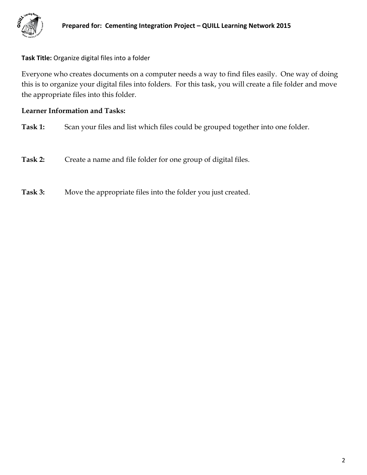

### **Task Title:** Organize digital files into a folder

Everyone who creates documents on a computer needs a way to find files easily. One way of doing this is to organize your digital files into folders. For this task, you will create a file folder and move the appropriate files into this folder.

### **Learner Information and Tasks:**

- **Task 1:** Scan your files and list which files could be grouped together into one folder.
- **Task 2:** Create a name and file folder for one group of digital files.
- **Task 3:** Move the appropriate files into the folder you just created.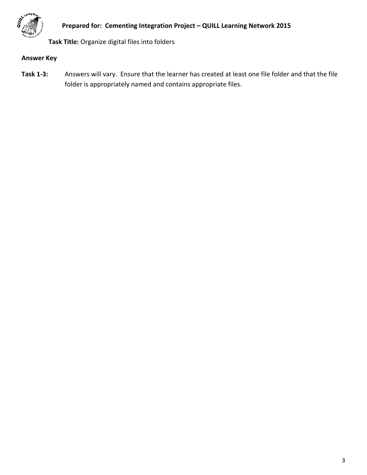

**Task Title:** Organize digital files into folders

# **Answer Key**

**Task 1-3:** Answers will vary. Ensure that the learner has created at least one file folder and that the file folder is appropriately named and contains appropriate files.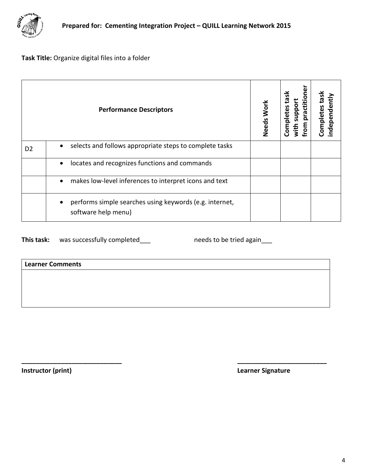

**Task Title:** Organize digital files into a folder

<span id="page-3-0"></span>

| <b>Performance Descriptors</b> |                                                                                             | Needs Work | practitione<br><b>Xest</b><br>with support<br>Completes<br>from | Completes task<br>independently |
|--------------------------------|---------------------------------------------------------------------------------------------|------------|-----------------------------------------------------------------|---------------------------------|
| D <sub>2</sub>                 | selects and follows appropriate steps to complete tasks<br>$\bullet$                        |            |                                                                 |                                 |
|                                | locates and recognizes functions and commands<br>$\bullet$                                  |            |                                                                 |                                 |
|                                | makes low-level inferences to interpret icons and text<br>$\bullet$                         |            |                                                                 |                                 |
|                                | performs simple searches using keywords (e.g. internet,<br>$\bullet$<br>software help menu) |            |                                                                 |                                 |

**\_\_\_\_\_\_\_\_\_\_\_\_\_\_\_\_\_\_\_\_\_\_\_\_\_\_\_\_ \_\_\_\_\_\_\_\_\_\_\_\_\_\_\_\_\_\_\_\_\_\_\_\_\_**

This task: was successfully completed\_\_\_ needs to be tried again\_\_\_

**Learner Comments**

<span id="page-3-1"></span>

**Instructor (print) Learner Signature**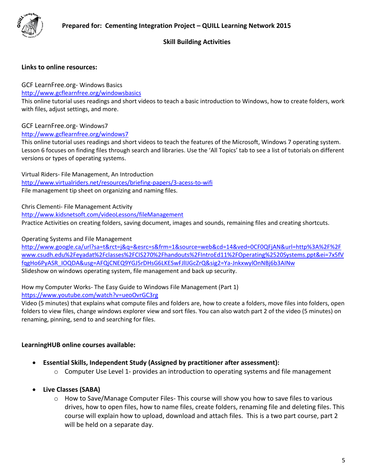

### **Skill Building Activities**

#### **Links to online resources:**

GCF LearnFree.org- Windows Basics

<http://www.gcflearnfree.org/windowsbasics>

This online tutorial uses readings and short videos to teach a basic introduction to Windows, how to create folders, work with files, adjust settings, and more.

#### GCF LearnFree.org- Windows7

<http://www.gcflearnfree.org/windows7>

This online tutorial uses readings and short videos to teach the features of the Microsoft, Windows 7 operating system. Lesson 6 focuses on finding files through search and libraries. Use the 'All Topics' tab to see a list of tutorials on different versions or types of operating systems.

Virtual Riders- File Management, An Introduction <http://www.virtualriders.net/resources/briefing-papers/3-acess-to-wifi> File management tip sheet on organizing and naming files.

Chris Clementi- File Management Activity

<http://www.kidsnetsoft.com/videoLessons/fileManagement>

Practice Activities on creating folders, saving document, images and sounds, remaining files and creating shortcuts.

Operating Systems and File Management

[http://www.google.ca/url?sa=t&rct=j&q=&esrc=s&frm=1&source=web&cd=14&ved=0CF0QFjAN&url=http%3A%2F%2F](http://www.google.ca/url?sa=t&rct=j&q=&esrc=s&frm=1&source=web&cd=14&ved=0CF0QFjAN&url=http%3A%2F%2Fwww.csudh.edu%2Feyadat%2Fclasses%2FCIS270%2Fhandouts%2FIntroEd11%2FOperating%2520Systems.ppt&ei=7x5fVfqgHo6PyASR_IOQDA&usg=AFQjCNEQ9YGJ5rDHsG6LKESwFJlIJGcZrQ&sig2=Ya-JnkxwylOnNBj6b3AINw) [www.csudh.edu%2Feyadat%2Fclasses%2FCIS270%2Fhandouts%2FIntroEd11%2FOperating%2520Systems.ppt&ei=7x5fV](http://www.google.ca/url?sa=t&rct=j&q=&esrc=s&frm=1&source=web&cd=14&ved=0CF0QFjAN&url=http%3A%2F%2Fwww.csudh.edu%2Feyadat%2Fclasses%2FCIS270%2Fhandouts%2FIntroEd11%2FOperating%2520Systems.ppt&ei=7x5fVfqgHo6PyASR_IOQDA&usg=AFQjCNEQ9YGJ5rDHsG6LKESwFJlIJGcZrQ&sig2=Ya-JnkxwylOnNBj6b3AINw) [fqgHo6PyASR\\_IOQDA&usg=AFQjCNEQ9YGJ5rDHsG6LKESwFJlIJGcZrQ&sig2=Ya-JnkxwylOnNBj6b3AINw](http://www.google.ca/url?sa=t&rct=j&q=&esrc=s&frm=1&source=web&cd=14&ved=0CF0QFjAN&url=http%3A%2F%2Fwww.csudh.edu%2Feyadat%2Fclasses%2FCIS270%2Fhandouts%2FIntroEd11%2FOperating%2520Systems.ppt&ei=7x5fVfqgHo6PyASR_IOQDA&usg=AFQjCNEQ9YGJ5rDHsG6LKESwFJlIJGcZrQ&sig2=Ya-JnkxwylOnNBj6b3AINw) Slideshow on windows operating system, file management and back up security.

How my Computer Works- The Easy Guide to Windows File Management (Part 1)

<https://www.youtube.com/watch?v=ueoOvrGC3rg>

Video (5 minutes) that explains what compute files and folders are, how to create a folders, move files into folders, open folders to view files, change windows explorer view and sort files. You can also watch part 2 of the video (5 minutes) on renaming, pinning, send to and searching for files.

### **LearningHUB online courses available:**

- **Essential Skills, Independent Study (Assigned by practitioner after assessment):**
	- $\circ$  Computer Use Level 1- provides an introduction to operating systems and file management
- **Live Classes (SABA)** 
	- o How to Save/Manage Computer Files- This course will show you how to save files to various drives, how to open files, how to name files, create folders, renaming file and deleting files. This course will explain how to upload, download and attach files. This is a two part course, part 2 will be held on a separate day.